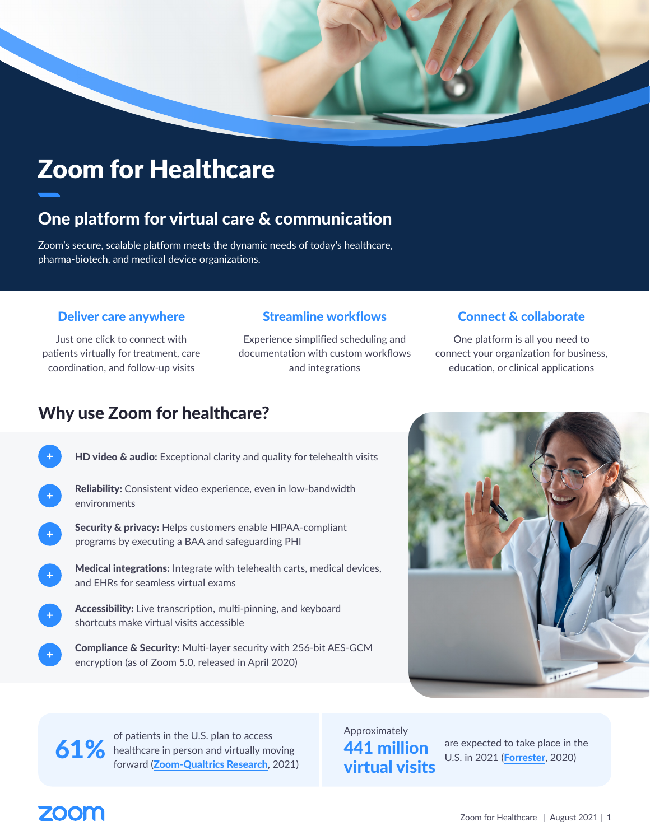

# Zoom for Healthcare

# One platform for virtual care & communication

Zoom's secure, scalable platform meets the dynamic needs of today's healthcare, pharma-biotech, and medical device organizations.

#### Deliver care anywhere

Just one click to connect with patients virtually for treatment, care coordination, and follow-up visits

Experience simplified scheduling and documentation with custom workflows and integrations

#### Streamline workflows Connect & collaborate

One platform is all you need to connect your organization for business, education, or clinical applications

### Why use Zoom for healthcare?

| HD video & audio: Exceptional clarity and quality for telehealth visits                                                   |
|---------------------------------------------------------------------------------------------------------------------------|
| <b>Reliability:</b> Consistent video experience, even in low-bandwidth<br>environments                                    |
| <b>Security &amp; privacy:</b> Helps customers enable HIPAA-compliant<br>programs by executing a BAA and safeguarding PHI |
| <b>Medical integrations:</b> Integrate with telehealth carts, medical devices,<br>and FHRs for seamless virtual exams     |
| Accessibility: Live transcription, multi-pinning, and keyboard<br>shortcuts make virtual visits accessible                |
| Compliance & Security: Multi-layer security with 256-bit AES-GCM                                                          |



of patients in the U.S. plan to access 61% healthcare in person and virtually moving forward ([Zoom-Qualtrics Research](https://zoom.us/docs/en-us/future-of-video-conferencing.html?_ga=2.52606632.1273918804.1620654577-1126140005.1615566333), 2021)

encryption (as of Zoom 5.0, released in April 2020)

Approximately 441 million virtual visits

are expected to take place in the U.S. in 2021 ([Forrester](https://go.forrester.com/blogs/healthcare-predictions-2021/), 2020)

# **ZOOM**